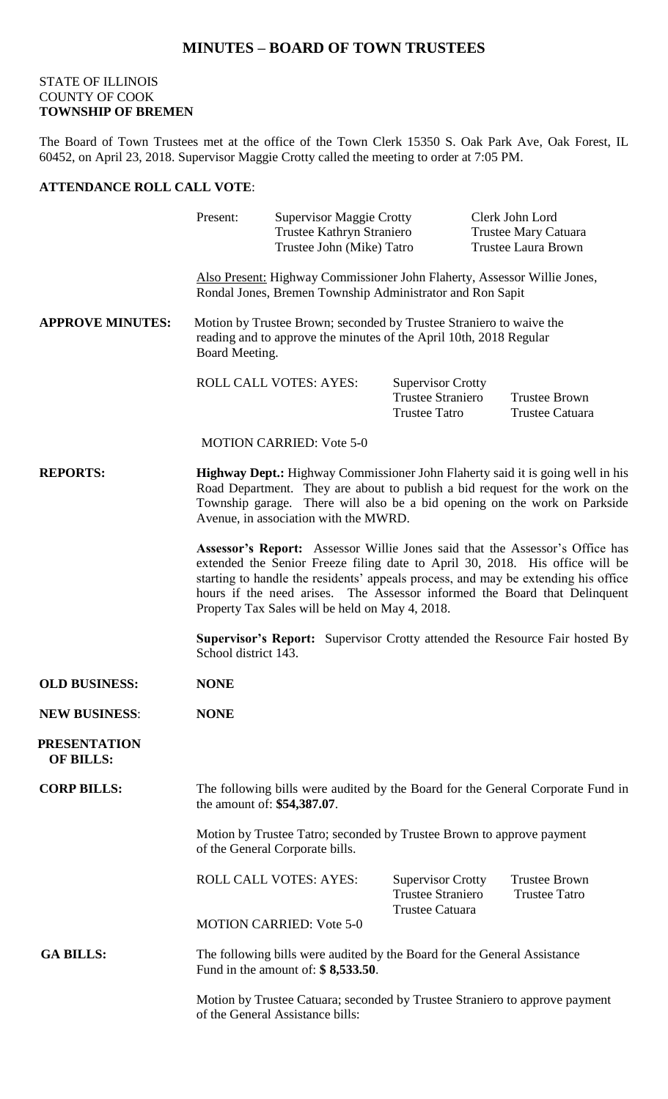## **MINUTES – BOARD OF TOWN TRUSTEES**

## STATE OF ILLINOIS COUNTY OF COOK **TOWNSHIP OF BREMEN**

The Board of Town Trustees met at the office of the Town Clerk 15350 S. Oak Park Ave, Oak Forest, IL 60452, on April 23, 2018. Supervisor Maggie Crotty called the meeting to order at 7:05 PM.

## **ATTENDANCE ROLL CALL VOTE**:

|                                         | Present:                                                                                                                                                                                                                                                                                                                                                                           | <b>Supervisor Maggie Crotty</b><br>Trustee Kathryn Straniero<br>Trustee John (Mike) Tatro |                                                                                | Clerk John Lord<br><b>Trustee Mary Catuara</b><br><b>Trustee Laura Brown</b> |
|-----------------------------------------|------------------------------------------------------------------------------------------------------------------------------------------------------------------------------------------------------------------------------------------------------------------------------------------------------------------------------------------------------------------------------------|-------------------------------------------------------------------------------------------|--------------------------------------------------------------------------------|------------------------------------------------------------------------------|
|                                         | Also Present: Highway Commissioner John Flaherty, Assessor Willie Jones,<br>Rondal Jones, Bremen Township Administrator and Ron Sapit                                                                                                                                                                                                                                              |                                                                                           |                                                                                |                                                                              |
| <b>APPROVE MINUTES:</b>                 | Motion by Trustee Brown; seconded by Trustee Straniero to waive the<br>reading and to approve the minutes of the April 10th, 2018 Regular<br>Board Meeting.                                                                                                                                                                                                                        |                                                                                           |                                                                                |                                                                              |
|                                         |                                                                                                                                                                                                                                                                                                                                                                                    | <b>ROLL CALL VOTES: AYES:</b>                                                             | <b>Supervisor Crotty</b><br><b>Trustee Straniero</b><br><b>Trustee Tatro</b>   | <b>Trustee Brown</b><br>Trustee Catuara                                      |
|                                         |                                                                                                                                                                                                                                                                                                                                                                                    | <b>MOTION CARRIED: Vote 5-0</b>                                                           |                                                                                |                                                                              |
| <b>REPORTS:</b>                         | <b>Highway Dept.:</b> Highway Commissioner John Flaherty said it is going well in his<br>Road Department. They are about to publish a bid request for the work on the<br>Township garage. There will also be a bid opening on the work on Parkside<br>Avenue, in association with the MWRD.                                                                                        |                                                                                           |                                                                                |                                                                              |
|                                         | Assessor's Report: Assessor Willie Jones said that the Assessor's Office has<br>extended the Senior Freeze filing date to April 30, 2018. His office will be<br>starting to handle the residents' appeals process, and may be extending his office<br>hours if the need arises. The Assessor informed the Board that Delinquent<br>Property Tax Sales will be held on May 4, 2018. |                                                                                           |                                                                                |                                                                              |
|                                         | <b>Supervisor's Report:</b> Supervisor Crotty attended the Resource Fair hosted By<br>School district 143.                                                                                                                                                                                                                                                                         |                                                                                           |                                                                                |                                                                              |
| <b>OLD BUSINESS:</b>                    | <b>NONE</b>                                                                                                                                                                                                                                                                                                                                                                        |                                                                                           |                                                                                |                                                                              |
| <b>NEW BUSINESS:</b>                    | <b>NONE</b>                                                                                                                                                                                                                                                                                                                                                                        |                                                                                           |                                                                                |                                                                              |
| <b>PRESENTATION</b><br><b>OF BILLS:</b> |                                                                                                                                                                                                                                                                                                                                                                                    |                                                                                           |                                                                                |                                                                              |
| <b>CORP BILLS:</b>                      | The following bills were audited by the Board for the General Corporate Fund in<br>the amount of: \$54,387.07.                                                                                                                                                                                                                                                                     |                                                                                           |                                                                                |                                                                              |
|                                         | Motion by Trustee Tatro; seconded by Trustee Brown to approve payment<br>of the General Corporate bills.                                                                                                                                                                                                                                                                           |                                                                                           |                                                                                |                                                                              |
|                                         |                                                                                                                                                                                                                                                                                                                                                                                    | <b>ROLL CALL VOTES: AYES:</b>                                                             | <b>Supervisor Crotty</b><br><b>Trustee Straniero</b><br><b>Trustee Catuara</b> | <b>Trustee Brown</b><br><b>Trustee Tatro</b>                                 |
|                                         |                                                                                                                                                                                                                                                                                                                                                                                    | <b>MOTION CARRIED: Vote 5-0</b>                                                           |                                                                                |                                                                              |
| <b>GA BILLS:</b>                        | The following bills were audited by the Board for the General Assistance<br>Fund in the amount of: $\$ 8,533.50$ .                                                                                                                                                                                                                                                                 |                                                                                           |                                                                                |                                                                              |
|                                         | Motion by Trustee Catuara; seconded by Trustee Straniero to approve payment<br>of the General Assistance bills:                                                                                                                                                                                                                                                                    |                                                                                           |                                                                                |                                                                              |